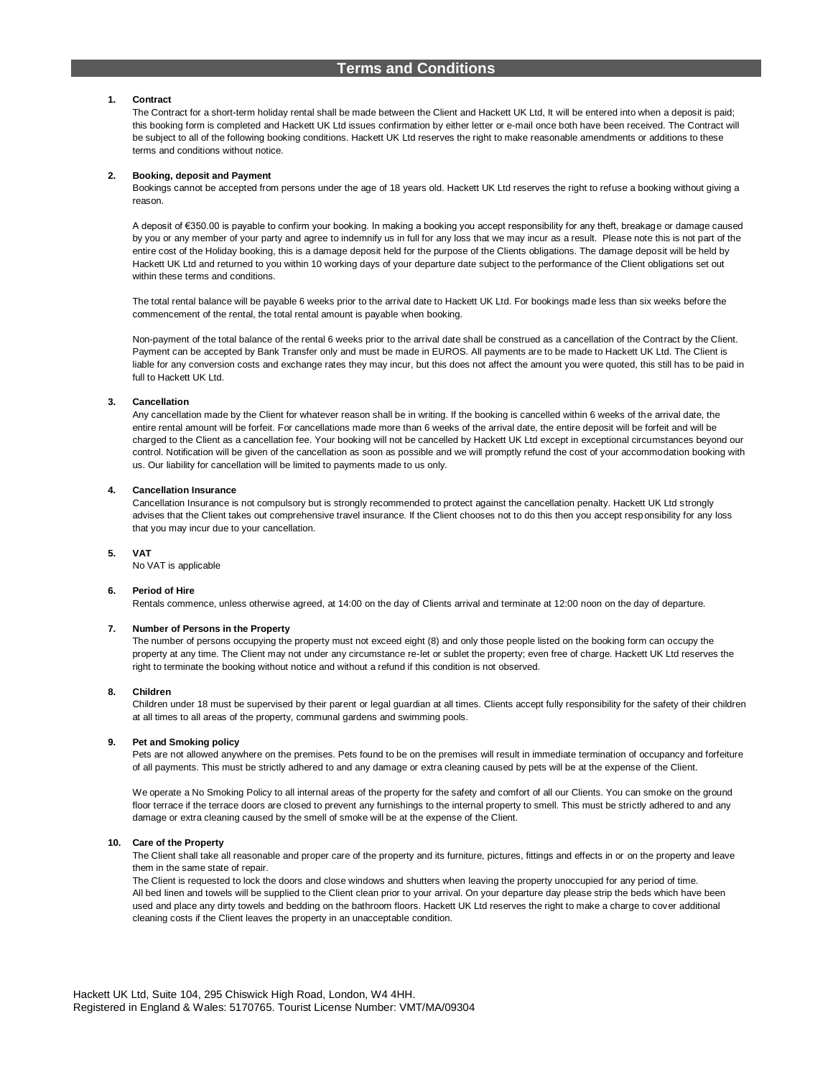## **1. Contract**

The Contract for a short-term holiday rental shall be made between the Client and Hackett UK Ltd, It will be entered into when a deposit is paid; this booking form is completed and Hackett UK Ltd issues confirmation by either letter or e-mail once both have been received. The Contract will be subject to all of the following booking conditions. Hackett UK Ltd reserves the right to make reasonable amendments or additions to these terms and conditions without notice.

## **2. Booking, deposit and Payment**

Bookings cannot be accepted from persons under the age of 18 years old. Hackett UK Ltd reserves the right to refuse a booking without giving a reason.

A deposit of €350.00 is payable to confirm your booking. In making a booking you accept responsibility for any theft, breakage or damage caused by you or any member of your party and agree to indemnify us in full for any loss that we may incur as a result. Please note this is not part of the entire cost of the Holiday booking, this is a damage deposit held for the purpose of the Clients obligations. The damage deposit will be held by Hackett UK Ltd and returned to you within 10 working days of your departure date subject to the performance of the Client obligations set out within these terms and conditions.

The total rental balance will be payable 6 weeks prior to the arrival date to Hackett UK Ltd. For bookings made less than six weeks before the commencement of the rental, the total rental amount is payable when booking.

Non-payment of the total balance of the rental 6 weeks prior to the arrival date shall be construed as a cancellation of the Contract by the Client. Payment can be accepted by Bank Transfer only and must be made in EUROS. All payments are to be made to Hackett UK Ltd. The Client is liable for any conversion costs and exchange rates they may incur, but this does not affect the amount you were quoted, this still has to be paid in full to Hackett UK Ltd.

# **3. Cancellation**

Any cancellation made by the Client for whatever reason shall be in writing. If the booking is cancelled within 6 weeks of the arrival date, the entire rental amount will be forfeit. For cancellations made more than 6 weeks of the arrival date, the entire deposit will be forfeit and will be charged to the Client as a cancellation fee. Your booking will not be cancelled by Hackett UK Ltd except in exceptional circumstances beyond our control. Notification will be given of the cancellation as soon as possible and we will promptly refund the cost of your accommodation booking with us. Our liability for cancellation will be limited to payments made to us only.

## **4. Cancellation Insurance**

Cancellation Insurance is not compulsory but is strongly recommended to protect against the cancellation penalty. Hackett UK Ltd strongly advises that the Client takes out comprehensive travel insurance. If the Client chooses not to do this then you accept responsibility for any loss that you may incur due to your cancellation.

# **5. VAT**

No VAT is applicable

# **6. Period of Hire**

Rentals commence, unless otherwise agreed, at 14:00 on the day of Clients arrival and terminate at 12:00 noon on the day of departure.

# **7. Number of Persons in the Property**

The number of persons occupying the property must not exceed eight (8) and only those people listed on the booking form can occupy the property at any time. The Client may not under any circumstance re-let or sublet the property; even free of charge. Hackett UK Ltd reserves the right to terminate the booking without notice and without a refund if this condition is not observed.

### **8. Children**

Children under 18 must be supervised by their parent or legal guardian at all times. Clients accept fully responsibility for the safety of their children at all times to all areas of the property, communal gardens and swimming pools.

# **9. Pet and Smoking policy**

Pets are not allowed anywhere on the premises. Pets found to be on the premises will result in immediate termination of occupancy and forfeiture of all payments. This must be strictly adhered to and any damage or extra cleaning caused by pets will be at the expense of the Client.

We operate a No Smoking Policy to all internal areas of the property for the safety and comfort of all our Clients. You can smoke on the ground floor terrace if the terrace doors are closed to prevent any furnishings to the internal property to smell. This must be strictly adhered to and any damage or extra cleaning caused by the smell of smoke will be at the expense of the Client.

# **10. Care of the Property**

The Client shall take all reasonable and proper care of the property and its furniture, pictures, fittings and effects in or on the property and leave them in the same state of repair.

The Client is requested to lock the doors and close windows and shutters when leaving the property unoccupied for any period of time. All bed linen and towels will be supplied to the Client clean prior to your arrival. On your departure day please strip the beds which have been used and place any dirty towels and bedding on the bathroom floors. Hackett UK Ltd reserves the right to make a charge to cover additional cleaning costs if the Client leaves the property in an unacceptable condition.